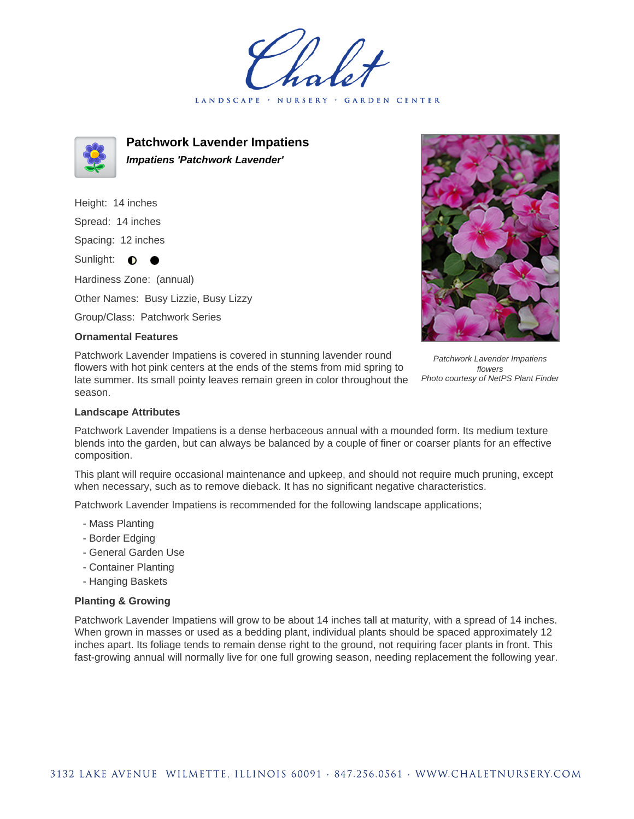LANDSCAPE · NURSERY GARDEN CENTER



**Patchwork Lavender Impatiens Impatiens 'Patchwork Lavender'**

Height: 14 inches Spread: 14 inches Spacing: 12 inches Sunlight:  $\bullet$ Hardiness Zone: (annual) Other Names: Busy Lizzie, Busy Lizzy

Group/Class: Patchwork Series

## **Ornamental Features**

Patchwork Lavender Impatiens is covered in stunning lavender round flowers with hot pink centers at the ends of the stems from mid spring to late summer. Its small pointy leaves remain green in color throughout the season.



Photo courtesy of NetPS Plant Finder

## **Landscape Attributes**

Patchwork Lavender Impatiens is a dense herbaceous annual with a mounded form. Its medium texture blends into the garden, but can always be balanced by a couple of finer or coarser plants for an effective composition.

This plant will require occasional maintenance and upkeep, and should not require much pruning, except when necessary, such as to remove dieback. It has no significant negative characteristics.

Patchwork Lavender Impatiens is recommended for the following landscape applications;

- Mass Planting
- Border Edging
- General Garden Use
- Container Planting
- Hanging Baskets

## **Planting & Growing**

Patchwork Lavender Impatiens will grow to be about 14 inches tall at maturity, with a spread of 14 inches. When grown in masses or used as a bedding plant, individual plants should be spaced approximately 12 inches apart. Its foliage tends to remain dense right to the ground, not requiring facer plants in front. This fast-growing annual will normally live for one full growing season, needing replacement the following year.